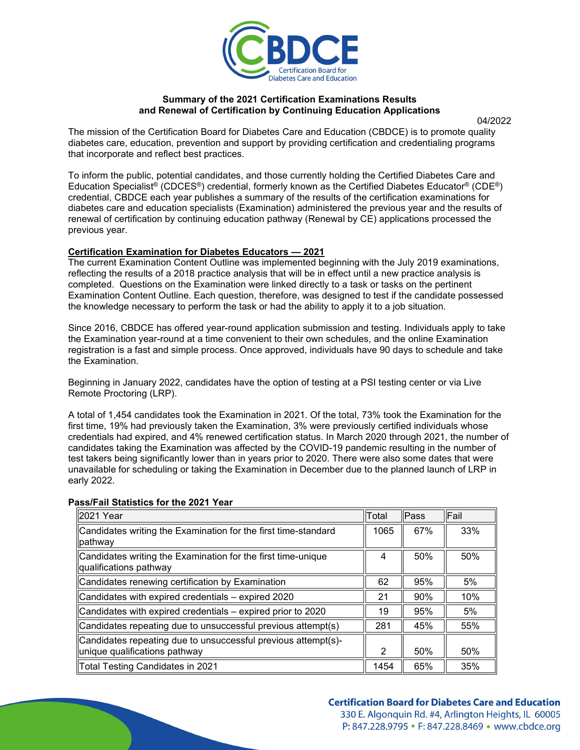

### **Summary of the 2021 Certification Examinations Results and Renewal of Certification by Continuing Education Applications**

04/2022

The mission of the Certification Board for Diabetes Care and Education (CBDCE) is to promote quality diabetes care, education, prevention and support by providing certification and credentialing programs that incorporate and reflect best practices.

To inform the public, potential candidates, and those currently holding the Certified Diabetes Care and Education Specialist® (CDCES®) credential, formerly known as the Certified Diabetes Educator® (CDE®) credential, CBDCE each year publishes a summary of the results of the certification examinations for diabetes care and education specialists (Examination) administered the previous year and the results of renewal of certification by continuing education pathway (Renewal by CE) applications processed the previous year.

### **Certification Examination for Diabetes Educators — 2021**

The current Examination Content Outline was implemented beginning with the July 2019 examinations, reflecting the results of a 2018 practice analysis that will be in effect until a new practice analysis is completed. Questions on the Examination were linked directly to a task or tasks on the pertinent Examination Content Outline. Each question, therefore, was designed to test if the candidate possessed the knowledge necessary to perform the task or had the ability to apply it to a job situation.

Since 2016, CBDCE has offered year-round application submission and testing. Individuals apply to take the Examination year-round at a time convenient to their own schedules, and the online Examination registration is a fast and simple process. Once approved, individuals have 90 days to schedule and take the Examination.

Beginning in January 2022, candidates have the option of testing at a PSI testing center or via Live Remote Proctoring (LRP).

A total of 1,454 candidates took the Examination in 2021. Of the total, 73% took the Examination for the first time, 19% had previously taken the Examination, 3% were previously certified individuals whose credentials had expired, and 4% renewed certification status. In March 2020 through 2021, the number of candidates taking the Examination was affected by the COVID-19 pandemic resulting in the number of test takers being significantly lower than in years prior to 2020. There were also some dates that were unavailable for scheduling or taking the Examination in December due to the planned launch of LRP in early 2022.

| 2021 Year                                                                              | Total | <b>Pass</b> | lFail |
|----------------------------------------------------------------------------------------|-------|-------------|-------|
| Candidates writing the Examination for the first time-standard<br>pathway              | 1065  | 67%         | 33%   |
| Candidates writing the Examination for the first time-unique<br>qualifications pathway | 4     | 50%         | 50%   |
| Candidates renewing certification by Examination                                       | 62    | 95%         | 5%    |
| Candidates with expired credentials - expired 2020                                     | 21    | 90%         | 10%   |
| Candidates with expired credentials – expired prior to 2020                            | 19    | 95%         | 5%    |
| Candidates repeating due to unsuccessful previous attempt(s)                           | 281   | 45%         | 55%   |
| Candidates repeating due to unsuccessful previous attempt(s)-                          |       |             |       |
| unique qualifications pathway                                                          | 2     | 50%         | 50%   |
| Total Testing Candidates in 2021                                                       | 1454  | 65%         | 35%   |

#### **Pass/Fail Statistics for the 2021 Year**

### **Certification Board for Diabetes Care and Education** 330 E. Algonguin Rd. #4, Arlington Heights, IL 60005 P: 847.228.9795 • F: 847.228.8469 • www.cbdce.org